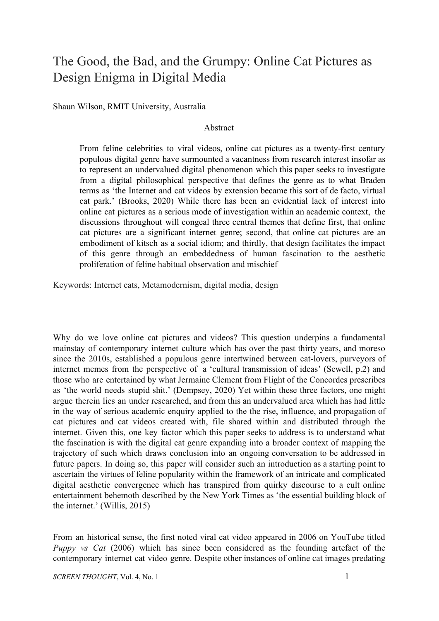## The Good, the Bad, and the Grumpy: Online Cat Pictures as Design Enigma in Digital Media

Shaun Wilson, RMIT University, Australia

## Abstract

From feline celebrities to viral videos, online cat pictures as a twenty-first century populous digital genre have surmounted a vacantness from research interest insofar as to represent an undervalued digital phenomenon which this paper seeks to investigate from a digital philosophical perspective that defines the genre as to what Braden terms as 'the Internet and cat videos by extension became this sort of de facto, virtual cat park.' (Brooks, 2020) While there has been an evidential lack of interest into online cat pictures as a serious mode of investigation within an academic context, the discussions throughout will congeal three central themes that define first, that online cat pictures are a significant internet genre; second, that online cat pictures are an embodiment of kitsch as a social idiom; and thirdly, that design facilitates the impact of this genre through an embeddedness of human fascination to the aesthetic proliferation of feline habitual observation and mischief

Keywords: Internet cats, Metamodernism, digital media, design

Why do we love online cat pictures and videos? This question underpins a fundamental mainstay of contemporary internet culture which has over the past thirty years, and moreso since the 2010s, established a populous genre intertwined between cat-lovers, purveyors of internet memes from the perspective of a 'cultural transmission of ideas' (Sewell, p.2) and those who are entertained by what Jermaine Clement from Flight of the Concordes prescribes as 'the world needs stupid shit.' (Dempsey, 2020) Yet within these three factors, one might argue therein lies an under researched, and from this an undervalued area which has had little in the way of serious academic enquiry applied to the the rise, influence, and propagation of cat pictures and cat videos created with, file shared within and distributed through the internet. Given this, one key factor which this paper seeks to address is to understand what the fascination is with the digital cat genre expanding into a broader context of mapping the trajectory of such which draws conclusion into an ongoing conversation to be addressed in future papers. In doing so, this paper will consider such an introduction as a starting point to ascertain the virtues of feline popularity within the framework of an intricate and complicated digital aesthetic convergence which has transpired from quirky discourse to a cult online entertainment behemoth described by the New York Times as 'the essential building block of the internet.' (Willis, 2015)

From an historical sense, the first noted viral cat video appeared in 2006 on YouTube titled *Puppy vs Cat* (2006) which has since been considered as the founding artefact of the contemporary internet cat video genre. Despite other instances of online cat images predating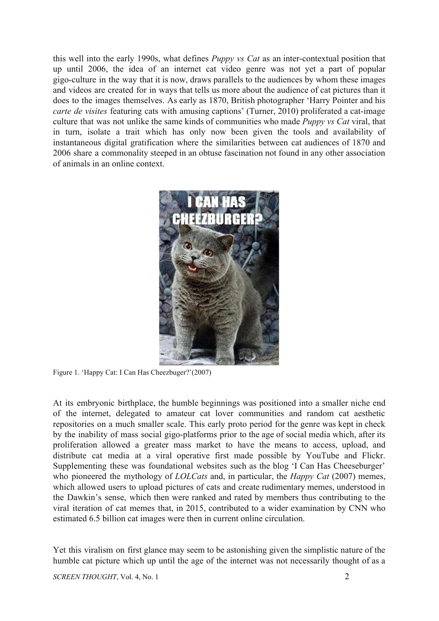this well into the early 1990s, what defines *Puppy vs Cat* as an inter-contextual position that up until 2006, the idea of an internet cat video genre was not yet a part of popular gigo-culture in the way that it is now, draws parallels to the audiences by whom these images and videos are created for in ways that tells us more about the audience of cat pictures than it does to the images themselves. As early as 1870, British photographer 'Harry Pointer and his *carte de visites* featuring cats with amusing captions' (Turner, 2010) proliferated a cat-image culture that was not unlike the same kinds of communities who made *Puppy vs Cat* viral, that in turn, isolate a trait which has only now been given the tools and availability of instantaneous digital gratification where the similarities between cat audiences of 1870 and 2006 share a commonality steeped in an obtuse fascination not found in any other association of animals in an online context.



Figure 1. 'Happy Cat: I Can Has Cheezbuger?'(2007)

At its embryonic birthplace, the humble beginnings was positioned into a smaller niche end of the internet, delegated to amateur cat lover communities and random cat aesthetic repositories on a much smaller scale. This early proto period for the genre was kept in check by the inability of mass social gigo-platforms prior to the age of social media which, after its proliferation allowed a greater mass market to have the means to access, upload, and distribute cat media at a viral operative first made possible by YouTube and Flickr. Supplementing these was foundational websites such as the blog 'I Can Has Cheeseburger' who pioneered the mythology of *LOLCats* and, in particular, the *Happy Cat* (2007) memes, which allowed users to upload pictures of cats and create rudimentary memes, understood in the Dawkin's sense, which then were ranked and rated by members thus contributing to the viral iteration of cat memes that, in 2015, contributed to a wider examination by CNN who estimated 6.5 billion cat images were then in current online circulation.

Yet this viralism on first glance may seem to be astonishing given the simplistic nature of the humble cat picture which up until the age of the internet was not necessarily thought of as a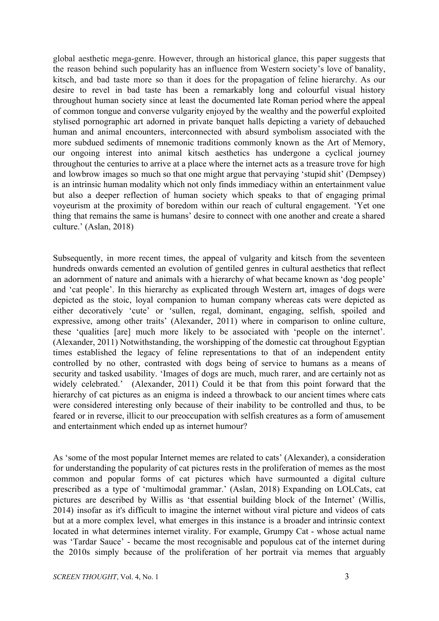global aesthetic mega-genre. However, through an historical glance, this paper suggests that the reason behind such popularity has an influence from Western society's love of banality, kitsch, and bad taste more so than it does for the propagation of feline hierarchy. As our desire to revel in bad taste has been a remarkably long and colourful visual history throughout human society since at least the documented late Roman period where the appeal of common tongue and converse vulgarity enjoyed by the wealthy and the powerful exploited stylised pornographic art adorned in private banquet halls depicting a variety of debauched human and animal encounters, interconnected with absurd symbolism associated with the more subdued sediments of mnemonic traditions commonly known as the Art of Memory, our ongoing interest into animal kitsch aesthetics has undergone a cyclical journey throughout the centuries to arrive at a place where the internet acts as a treasure trove for high and lowbrow images so much so that one might argue that pervaying 'stupid shit' (Dempsey) is an intrinsic human modality which not only finds immediacy within an entertainment value but also a deeper reflection of human society which speaks to that of engaging primal voyeurism at the proximity of boredom within our reach of cultural engagement. 'Yet one thing that remains the same is humans' desire to connect with one another and create a shared culture.' (Aslan, 2018)

Subsequently, in more recent times, the appeal of vulgarity and kitsch from the seventeen hundreds onwards cemented an evolution of gentiled genres in cultural aesthetics that reflect an adornment of nature and animals with a hierarchy of what became known as 'dog people' and 'cat people'. In this hierarchy as explicated through Western art, images of dogs were depicted as the stoic, loyal companion to human company whereas cats were depicted as either decoratively 'cute' or 'sullen, regal, dominant, engaging, selfish, spoiled and expressive, among other traits' (Alexander, 2011) where in comparison to online culture, these 'qualities [are] much more likely to be associated with 'people on the internet'. (Alexander, 2011) Notwithstanding, the worshipping of the domestic cat throughout Egyptian times established the legacy of feline representations to that of an independent entity controlled by no other, contrasted with dogs being of service to humans as a means of security and tasked usability. 'Images of dogs are much, much rarer, and are certainly not as widely celebrated.' (Alexander, 2011) Could it be that from this point forward that the hierarchy of cat pictures as an enigma is indeed a throwback to our ancient times where cats were considered interesting only because of their inability to be controlled and thus, to be feared or in reverse, illicit to our preoccupation with selfish creatures as a form of amusement and entertainment which ended up as internet humour?

As 'some of the most popular Internet memes are related to cats' (Alexander), a consideration for understanding the popularity of cat pictures rests in the proliferation of memes as the most common and popular forms of cat pictures which have surmounted a digital culture prescribed as a type of 'multimodal grammar.' (Aslan, 2018) Expanding on LOLCats, cat pictures are described by Willis as 'that essential building block of the Internet' (Willis, 2014) insofar as it's difficult to imagine the internet without viral picture and videos of cats but at a more complex level, what emerges in this instance is a broader and intrinsic context located in what determines internet virality. For example, Grumpy Cat - whose actual name was 'Tardar Sauce' - became the most recognisable and populous cat of the internet during the 2010s simply because of the proliferation of her portrait via memes that arguably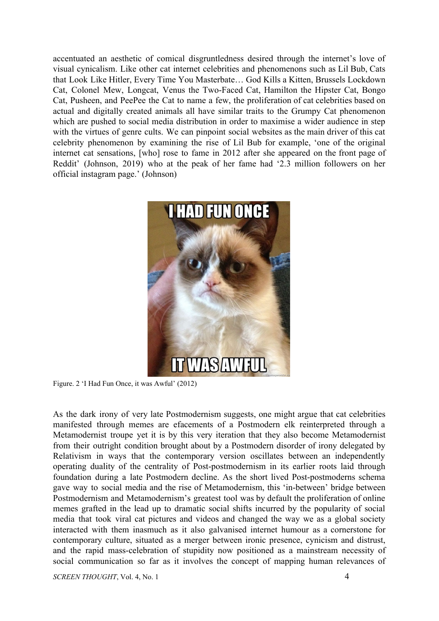accentuated an aesthetic of comical disgruntledness desired through the internet's love of visual cynicalism. Like other cat internet celebrities and phenomenons such as Lil Bub, Cats that Look Like Hitler, Every Time You Masterbate… God Kills a Kitten, Brussels Lockdown Cat, Colonel Mew, Longcat, Venus the Two-Faced Cat, Hamilton the Hipster Cat, Bongo Cat, Pusheen, and PeePee the Cat to name a few, the proliferation of cat celebrities based on actual and digitally created animals all have similar traits to the Grumpy Cat phenomenon which are pushed to social media distribution in order to maximise a wider audience in step with the virtues of genre cults. We can pinpoint social websites as the main driver of this cat celebrity phenomenon by examining the rise of Lil Bub for example, 'one of the original internet cat sensations, [who] rose to fame in 2012 after she appeared on the front page of Reddit' (Johnson, 2019) who at the peak of her fame had '2.3 million followers on her official instagram page.' (Johnson)



Figure. 2 'I Had Fun Once, it was Awful' (2012)

As the dark irony of very late Postmodernism suggests, one might argue that cat celebrities manifested through memes are efacements of a Postmodern elk reinterpreted through a Metamodernist troupe yet it is by this very iteration that they also become Metamodernist from their outright condition brought about by a Postmodern disorder of irony delegated by Relativism in ways that the contemporary version oscillates between an independently operating duality of the centrality of Post-postmodernism in its earlier roots laid through foundation during a late Postmodern decline. As the short lived Post-postmoderns schema gave way to social media and the rise of Metamodernism, this 'in-between' bridge between Postmodernism and Metamodernism's greatest tool was by default the proliferation of online memes grafted in the lead up to dramatic social shifts incurred by the popularity of social media that took viral cat pictures and videos and changed the way we as a global society interacted with them inasmuch as it also galvanised internet humour as a cornerstone for contemporary culture, situated as a merger between ironic presence, cynicism and distrust, and the rapid mass-celebration of stupidity now positioned as a mainstream necessity of social communication so far as it involves the concept of mapping human relevances of

*SCREEN THOUGHT*, Vol. 4, No. 1 4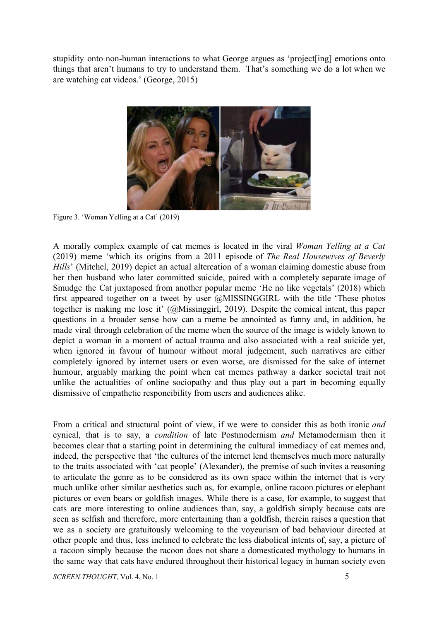stupidity onto non-human interactions to what George argues as 'project[ing] emotions onto things that aren't humans to try to understand them. That's something we do a lot when we are watching cat videos.' (George, 2015)



Figure 3. 'Woman Yelling at a Cat' (2019)

A morally complex example of cat memes is located in the viral *Woman Yelling at a Cat* (2019) meme 'which its origins from a 2011 episode of *The Real Housewives of Beverly Hills*' (Mitchel, 2019) depict an actual altercation of a woman claiming domestic abuse from her then husband who later committed suicide, paired with a completely separate image of Smudge the Cat juxtaposed from another popular meme 'He no like vegetals' (2018) which first appeared together on a tweet by user @MISSINGGIRL with the title 'These photos together is making me lose it' (@Missinggirl, 2019). Despite the comical intent, this paper questions in a broader sense how can a meme be annointed as funny and, in addition, be made viral through celebration of the meme when the source of the image is widely known to depict a woman in a moment of actual trauma and also associated with a real suicide yet, when ignored in favour of humour without moral judgement, such narratives are either completely ignored by internet users or even worse, are dismissed for the sake of internet humour, arguably marking the point when cat memes pathway a darker societal trait not unlike the actualities of online sociopathy and thus play out a part in becoming equally dismissive of empathetic responcibility from users and audiences alike.

From a critical and structural point of view, if we were to consider this as both ironic *and* cynical, that is to say, a *condition* of late Postmodernism *and* Metamodernism then it becomes clear that a starting point in determining the cultural immediacy of cat memes and, indeed, the perspective that 'the cultures of the internet lend themselves much more naturally to the traits associated with 'cat people' (Alexander), the premise of such invites a reasoning to articulate the genre as to be considered as its own space within the internet that is very much unlike other similar aesthetics such as, for example, online racoon pictures or elephant pictures or even bears or goldfish images. While there is a case, for example, to suggest that cats are more interesting to online audiences than, say, a goldfish simply because cats are seen as selfish and therefore, more entertaining than a goldfish, therein raises a question that we as a society are gratuitously welcoming to the voyeurism of bad behaviour directed at other people and thus, less inclined to celebrate the less diabolical intents of, say, a picture of a racoon simply because the racoon does not share a domesticated mythology to humans in the same way that cats have endured throughout their historical legacy in human society even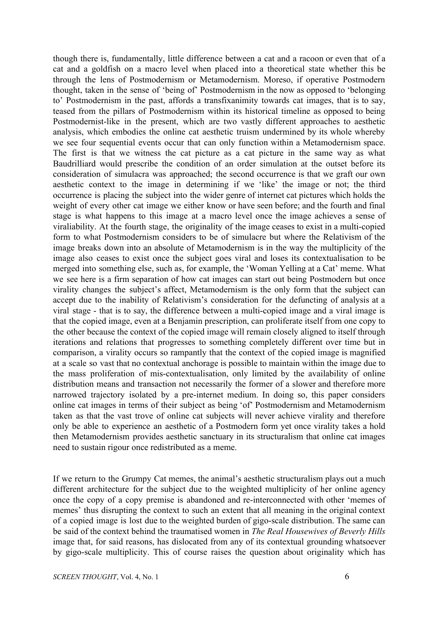though there is, fundamentally, little difference between a cat and a racoon or even that of a cat and a goldfish on a macro level when placed into a theoretical state whether this be through the lens of Postmodernism or Metamodernism. Moreso, if operative Postmodern thought, taken in the sense of 'being of' Postmodernism in the now as opposed to 'belonging to' Postmodernism in the past, affords a transfixanimity towards cat images, that is to say, teased from the pillars of Postmodernism within its historical timeline as opposed to being Postmodernist-like in the present, which are two vastly different approaches to aesthetic analysis, which embodies the online cat aesthetic truism undermined by its whole whereby we see four sequential events occur that can only function within a Metamodernism space. The first is that we witness the cat picture as a cat picture in the same way as what Baudrilliard would prescribe the condition of an order simulation at the outset before its consideration of simulacra was approached; the second occurrence is that we graft our own aesthetic context to the image in determining if we 'like' the image or not; the third occurrence is placing the subject into the wider genre of internet cat pictures which holds the weight of every other cat image we either know or have seen before; and the fourth and final stage is what happens to this image at a macro level once the image achieves a sense of viraliability. At the fourth stage, the originality of the image ceases to exist in a multi-copied form to what Postmodernism considers to be of simulacre but where the Relativism of the image breaks down into an absolute of Metamodernism is in the way the multiplicity of the image also ceases to exist once the subject goes viral and loses its contextualisation to be merged into something else, such as, for example, the 'Woman Yelling at a Cat' meme. What we see here is a firm separation of how cat images can start out being Postmodern but once virality changes the subject's affect, Metamodernism is the only form that the subject can accept due to the inability of Relativism's consideration for the defuncting of analysis at a viral stage - that is to say, the difference between a multi-copied image and a viral image is that the copied image, even at a Benjamin prescription, can proliferate itself from one copy to the other because the context of the copied image will remain closely aligned to itself through iterations and relations that progresses to something completely different over time but in comparison, a virality occurs so rampantly that the context of the copied image is magnified at a scale so vast that no contextual anchorage is possible to maintain within the image due to the mass proliferation of mis-contextualisation, only limited by the availability of online distribution means and transaction not necessarily the former of a slower and therefore more narrowed trajectory isolated by a pre-internet medium. In doing so, this paper considers online cat images in terms of their subject as being 'of' Postmodernism and Metamodernism taken as that the vast trove of online cat subjects will never achieve virality and therefore only be able to experience an aesthetic of a Postmodern form yet once virality takes a hold then Metamodernism provides aesthetic sanctuary in its structuralism that online cat images need to sustain rigour once redistributed as a meme.

If we return to the Grumpy Cat memes, the animal's aesthetic structuralism plays out a much different architecture for the subject due to the weighted multiplicity of her online agency once the copy of a copy premise is abandoned and re-interconnected with other 'memes of memes' thus disrupting the context to such an extent that all meaning in the original context of a copied image is lost due to the weighted burden of gigo-scale distribution. The same can be said of the context behind the traumatised women in *The Real Housewives of Beverly Hills* image that, for said reasons, has dislocated from any of its contextual grounding whatsoever by gigo-scale multiplicity. This of course raises the question about originality which has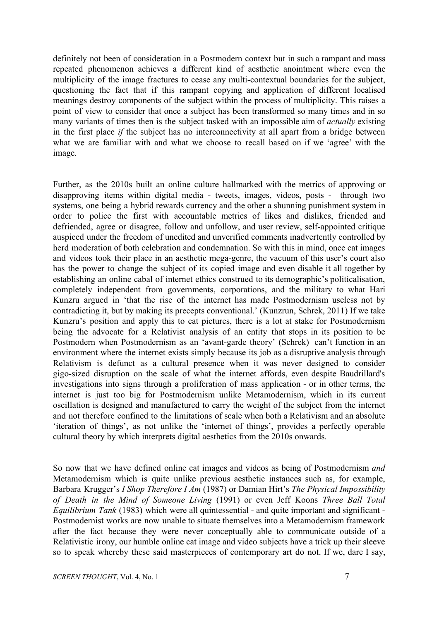definitely not been of consideration in a Postmodern context but in such a rampant and mass repeated phenomenon achieves a different kind of aesthetic anointment where even the multiplicity of the image fractures to cease any multi-contextual boundaries for the subject, questioning the fact that if this rampant copying and application of different localised meanings destroy components of the subject within the process of multiplicity. This raises a point of view to consider that once a subject has been transformed so many times and in so many variants of times then is the subject tasked with an impossible aim of *actually* existing in the first place *if* the subject has no interconnectivity at all apart from a bridge between what we are familiar with and what we choose to recall based on if we 'agree' with the image.

Further, as the 2010s built an online culture hallmarked with the metrics of approving or disapproving items within digital media - tweets, images, videos, posts - through two systems, one being a hybrid rewards currency and the other a shunning punishment system in order to police the first with accountable metrics of likes and dislikes, friended and defriended, agree or disagree, follow and unfollow, and user review, self-appointed critique auspiced under the freedom of unedited and unverified comments inadvertently controlled by herd moderation of both celebration and condemnation. So with this in mind, once cat images and videos took their place in an aesthetic mega-genre, the vacuum of this user's court also has the power to change the subject of its copied image and even disable it all together by establishing an online cabal of internet ethics construed to its demographic's politicalisation, completely independent from governments, corporations, and the military to what Hari Kunzru argued in 'that the rise of the internet has made Postmodernism useless not by contradicting it, but by making its precepts conventional.' (Kunzrun, Schrek, 2011) If we take Kunzru's position and apply this to cat pictures, there is a lot at stake for Postmodernism being the advocate for a Relativist analysis of an entity that stops in its position to be Postmodern when Postmodernism as an 'avant-garde theory' (Schrek) can't function in an environment where the internet exists simply because its job as a disruptive analysis through Relativism is defunct as a cultural presence when it was never designed to consider gigo-sized disruption on the scale of what the internet affords, even despite Baudrillard's investigations into signs through a proliferation of mass application - or in other terms, the internet is just too big for Postmodernism unlike Metamodernism, which in its current oscillation is designed and manufactured to carry the weight of the subject from the internet and not therefore confined to the limitations of scale when both a Relativism and an absolute 'iteration of things', as not unlike the 'internet of things', provides a perfectly operable cultural theory by which interprets digital aesthetics from the 2010s onwards.

So now that we have defined online cat images and videos as being of Postmodernism *and* Metamodernism which is quite unlike previous aesthetic instances such as, for example, Barbara Krugger's *I Shop Therefore I Am* (1987) or Damian Hirt's *The Physical Impossibility of Death in the Mind of Someone Living* (1991) or even Jeff Koons *Three Ball Total Equilibrium Tank* (1983) which were all quintessential - and quite important and significant - Postmodernist works are now unable to situate themselves into a Metamodernism framework after the fact because they were never conceptually able to communicate outside of a Relativistic irony, our humble online cat image and video subjects have a trick up their sleeve so to speak whereby these said masterpieces of contemporary art do not. If we, dare I say,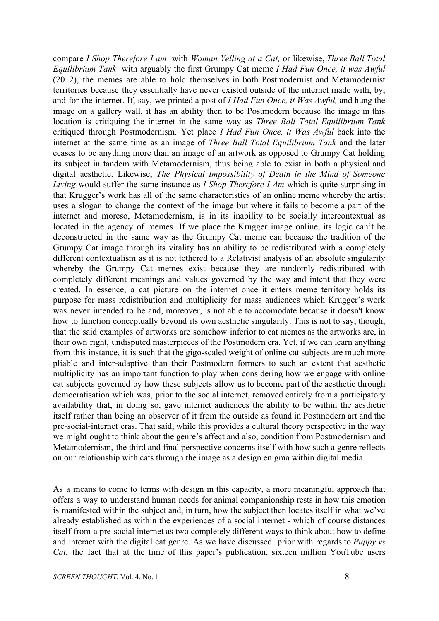compare *I Shop Therefore I am* with *Woman Yelling at a Cat,* or likewise, *Three Ball Total Equilibrium Tank* with arguably the first Grumpy Cat meme *I Had Fun Once, it was Awful* (2012), the memes are able to hold themselves in both Postmodernist and Metamodernist territories because they essentially have never existed outside of the internet made with, by, and for the internet. If, say, we printed a post of *I Had Fun Once, it Was Awful,* and hung the image on a gallery wall, it has an ability then to be Postmodern because the image in this location is critiquing the internet in the same way as *Three Ball Total Equilibrium Tank* critiqued through Postmodernism. Yet place *I Had Fun Once, it Was Awful* back into the internet at the same time as an image of *Three Ball Total Equilibrium Tank* and the later ceases to be anything more than an image of an artwork as opposed to Grumpy Cat holding its subject in tandem with Metamodernism, thus being able to exist in both a physical and digital aesthetic. Likewise, *The Physical Impossibility of Death in the Mind of Someone Living* would suffer the same instance as *I Shop Therefore I Am* which is quite surprising in that Krugger's work has all of the same characteristics of an online meme whereby the artist uses a slogan to change the context of the image but where it fails to become a part of the internet and moreso, Metamodernism, is in its inability to be socially intercontextual as located in the agency of memes. If we place the Krugger image online, its logic can't be deconstructed in the same way as the Grumpy Cat meme can because the tradition of the Grumpy Cat image through its vitality has an ability to be redistributed with a completely different contextualism as it is not tethered to a Relativist analysis of an absolute singularity whereby the Grumpy Cat memes exist because they are randomly redistributed with completely different meanings and values governed by the way and intent that they were created. In essence, a cat picture on the internet once it enters meme territory holds its purpose for mass redistribution and multiplicity for mass audiences which Krugger's work was never intended to be and, moreover, is not able to accomodate because it doesn't know how to function conceptually beyond its own aesthetic singularity. This is not to say, though, that the said examples of artworks are somehow inferior to cat memes as the artworks are, in their own right, undisputed masterpieces of the Postmodern era. Yet, if we can learn anything from this instance, it is such that the gigo-scaled weight of online cat subjects are much more pliable and inter-adaptive than their Postmodern formers to such an extent that aesthetic multiplicity has an important function to play when considering how we engage with online cat subjects governed by how these subjects allow us to become part of the aesthetic through democratisation which was, prior to the social internet, removed entirely from a participatory availability that, in doing so, gave internet audiences the ability to be within the aesthetic itself rather than being an observer of it from the outside as found in Postmodern art and the pre-social-internet eras. That said, while this provides a cultural theory perspective in the way we might ought to think about the genre's affect and also, condition from Postmodernism and Metamodernism, the third and final perspective concerns itself with how such a genre reflects on our relationship with cats through the image as a design enigma within digital media.

As a means to come to terms with design in this capacity, a more meaningful approach that offers a way to understand human needs for animal companionship rests in how this emotion is manifested within the subject and, in turn, how the subject then locates itself in what we've already established as within the experiences of a social internet - which of course distances itself from a pre-social internet as two completely different ways to think about how to define and interact with the digital cat genre. As we have discussed prior with regards to *Puppy vs Cat*, the fact that at the time of this paper's publication, sixteen million YouTube users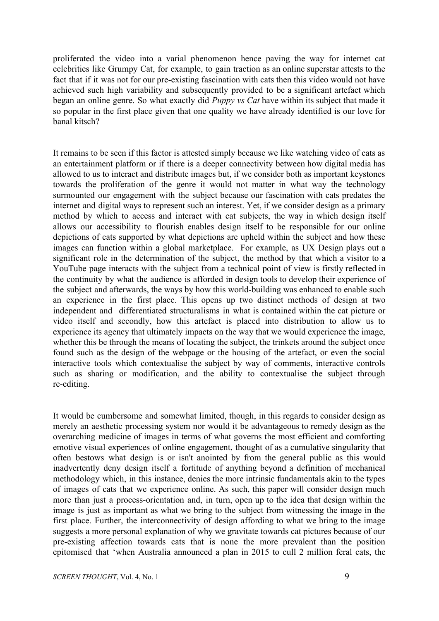proliferated the video into a varial phenomenon hence paving the way for internet cat celebrities like Grumpy Cat, for example, to gain traction as an online superstar attests to the fact that if it was not for our pre-existing fascination with cats then this video would not have achieved such high variability and subsequently provided to be a significant artefact which began an online genre. So what exactly did *Puppy vs Cat* have within its subject that made it so popular in the first place given that one quality we have already identified is our love for banal kitsch?

It remains to be seen if this factor is attested simply because we like watching video of cats as an entertainment platform or if there is a deeper connectivity between how digital media has allowed to us to interact and distribute images but, if we consider both as important keystones towards the proliferation of the genre it would not matter in what way the technology surmounted our engagement with the subject because our fascination with cats predates the internet and digital ways to represent such an interest. Yet, if we consider design as a primary method by which to access and interact with cat subjects, the way in which design itself allows our accessibility to flourish enables design itself to be responsible for our online depictions of cats supported by what depictions are upheld within the subject and how these images can function within a global marketplace. For example, as UX Design plays out a significant role in the determination of the subject, the method by that which a visitor to a YouTube page interacts with the subject from a technical point of view is firstly reflected in the continuity by what the audience is afforded in design tools to develop their experience of the subject and afterwards, the ways by how this world-building was enhanced to enable such an experience in the first place. This opens up two distinct methods of design at two independent and differentiated structuralisms in what is contained within the cat picture or video itself and secondly, how this artefact is placed into distribution to allow us to experience its agency that ultimately impacts on the way that we would experience the image, whether this be through the means of locating the subject, the trinkets around the subject once found such as the design of the webpage or the housing of the artefact, or even the social interactive tools which contextualise the subject by way of comments, interactive controls such as sharing or modification, and the ability to contextualise the subject through re-editing.

It would be cumbersome and somewhat limited, though, in this regards to consider design as merely an aesthetic processing system nor would it be advantageous to remedy design as the overarching medicine of images in terms of what governs the most efficient and comforting emotive visual experiences of online engagement, thought of as a cumulative singularity that often bestows what design is or isn't anointed by from the general public as this would inadvertently deny design itself a fortitude of anything beyond a definition of mechanical methodology which, in this instance, denies the more intrinsic fundamentals akin to the types of images of cats that we experience online. As such, this paper will consider design much more than just a process-orientation and, in turn, open up to the idea that design within the image is just as important as what we bring to the subject from witnessing the image in the first place. Further, the interconnectivity of design affording to what we bring to the image suggests a more personal explanation of why we gravitate towards cat pictures because of our pre-existing affection towards cats that is none the more prevalent than the position epitomised that 'when Australia announced a plan in 2015 to cull 2 million feral cats, the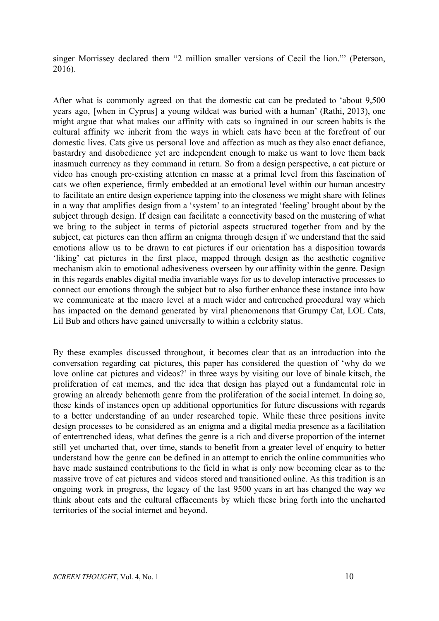singer Morrissey declared them "2 million smaller versions of Cecil the lion."' (Peterson, 2016).

After what is commonly agreed on that the domestic cat can be predated to 'about 9,500 years ago, [when in Cyprus] a young wildcat was buried with a human' (Rathi, 2013), one might argue that what makes our affinity with cats so ingrained in our screen habits is the cultural affinity we inherit from the ways in which cats have been at the forefront of our domestic lives. Cats give us personal love and affection as much as they also enact defiance, bastardry and disobedience yet are independent enough to make us want to love them back inasmuch currency as they command in return. So from a design perspective, a cat picture or video has enough pre-existing attention en masse at a primal level from this fascination of cats we often experience, firmly embedded at an emotional level within our human ancestry to facilitate an entire design experience tapping into the closeness we might share with felines in a way that amplifies design from a 'system' to an integrated 'feeling' brought about by the subject through design. If design can facilitate a connectivity based on the mustering of what we bring to the subject in terms of pictorial aspects structured together from and by the subject, cat pictures can then affirm an enigma through design if we understand that the said emotions allow us to be drawn to cat pictures if our orientation has a disposition towards 'liking' cat pictures in the first place, mapped through design as the aesthetic cognitive mechanism akin to emotional adhesiveness overseen by our affinity within the genre. Design in this regards enables digital media invariable ways for us to develop interactive processes to connect our emotions through the subject but to also further enhance these instance into how we communicate at the macro level at a much wider and entrenched procedural way which has impacted on the demand generated by viral phenomenons that Grumpy Cat, LOL Cats, Lil Bub and others have gained universally to within a celebrity status.

By these examples discussed throughout, it becomes clear that as an introduction into the conversation regarding cat pictures, this paper has considered the question of 'why do we love online cat pictures and videos?' in three ways by visiting our love of binale kitsch, the proliferation of cat memes, and the idea that design has played out a fundamental role in growing an already behemoth genre from the proliferation of the social internet. In doing so, these kinds of instances open up additional opportunities for future discussions with regards to a better understanding of an under researched topic. While these three positions invite design processes to be considered as an enigma and a digital media presence as a facilitation of entertrenched ideas, what defines the genre is a rich and diverse proportion of the internet still yet uncharted that, over time, stands to benefit from a greater level of enquiry to better understand how the genre can be defined in an attempt to enrich the online communities who have made sustained contributions to the field in what is only now becoming clear as to the massive trove of cat pictures and videos stored and transitioned online. As this tradition is an ongoing work in progress, the legacy of the last 9500 years in art has changed the way we think about cats and the cultural effacements by which these bring forth into the uncharted territories of the social internet and beyond.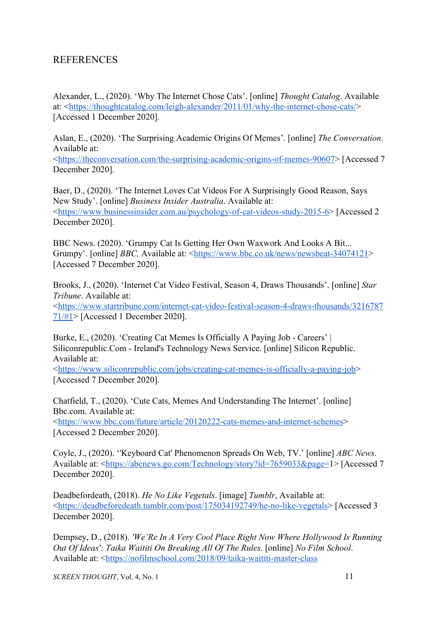## REFERENCES

Alexander, L., (2020). 'Why The Internet Chose Cats'. [online] *Thought Catalog*. Available at: <<https://thoughtcatalog.com/leigh-alexander/2011/01/why-the-internet-chose-cats/>> [Accessed 1 December 2020].

Aslan, E., (2020). 'The Surprising Academic Origins Of Memes'. [online] *The Conversation*. Available at:

<[https://theconversation.com/the-surprising-academic-origins-of-memes-90607>](https://theconversation.com/the-surprising-academic-origins-of-memes-90607) [Accessed 7 December 2020].

Baer, D., (2020). 'The Internet Loves Cat Videos For A Surprisingly Good Reason, Says New Study'. [online] *Business Insider Australia*. Available at: <[https://www.businessinsider.com.au/psychology-of-cat-videos-study-2015-6>](https://www.businessinsider.com.au/psychology-of-cat-videos-study-2015-6) [Accessed 2 December 2020].

BBC News. (2020). 'Grumpy Cat Is Getting Her Own Waxwork And Looks A Bit... Grumpy'. [online] *BBC*, Available at: [<https://www.bbc.co.uk/news/newsbeat-34074121>](https://www.bbc.co.uk/news/newsbeat-34074121) [Accessed 7 December 2020].

Brooks, J., (2020). 'Internet Cat Video Festival, Season 4, Draws Thousands'. [online] *Star Tribune*. Available at: <[https://www.startribune.com/internet-cat-video-festival-season-4-draws-thousands/3216787](https://www.startribune.com/internet-cat-video-festival-season-4-draws-thousands/321678771/#1) [71/#1](https://www.startribune.com/internet-cat-video-festival-season-4-draws-thousands/321678771/#1)> [Accessed 1 December 2020].

Burke, E., (2020). 'Creating Cat Memes Is Officially A Paying Job - Careers' | Siliconrepublic.Com - Ireland's Technology News Service. [online] Silicon Republic. Available at:

<<https://www.siliconrepublic.com/jobs/creating-cat-memes-is-officially-a-paying-job>> [Accessed 7 December 2020].

Chatfield, T., (2020). 'Cute Cats, Memes And Understanding The Internet'. [online] Bbc.com. Available at:

<<https://www.bbc.com/future/article/20120222-cats-memes-and-internet-schemes>> [Accessed 2 December 2020].

Coyle, J., (2020). ''Keyboard Cat' Phenomenon Spreads On Web, TV.' [online] *ABC News*. Available at: [<https://abcnews.go.com/Technology/story?id=7659033&page=](https://abcnews.go.com/Technology/story?id=7659033&page=)1> [Accessed 7 December 2020].

Deadbefordeath, (2018). *He No Like Vegetals*. [image] *Tumblr*, Available at: <<https://deadbeforedeath.tumblr.com/post/175034192749/he-no-like-vegetals>> [Accessed 3 December 2020].

Dempsey, D., (2018). *'We'Re In A Very Cool Place Right Now Where Hollywood Is Running Out Of Ideas': Taika Waititi On Breaking All Of The Rules*. [online] *No Film School*. Available at: [<https://nofilmschool.com/2018/09/taika-waititi-master-class](https://nofilmschool.com/2018/09/taika-waititi-master-class)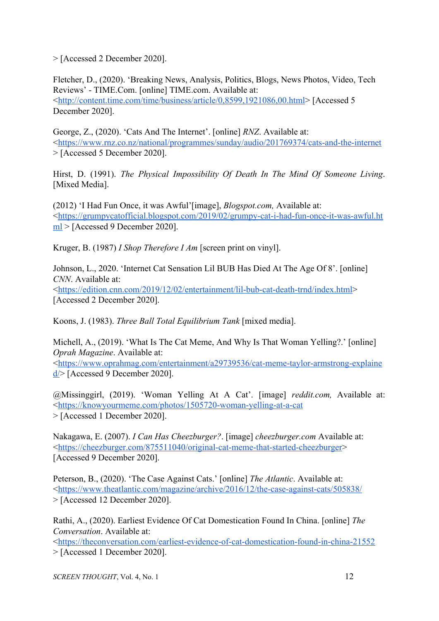> [Accessed 2 December 2020].

Fletcher, D., (2020). 'Breaking News, Analysis, Politics, Blogs, News Photos, Video, Tech Reviews' - TIME.Com. [online] TIME.com. Available at: <<http://content.time.com/time/business/article/0,8599,1921086,00.html>> [Accessed 5 December 2020].

George, Z., (2020). 'Cats And The Internet'. [online] *RNZ*. Available at: <<https://www.rnz.co.nz/national/programmes/sunday/audio/201769374/cats-and-the-internet> > [Accessed 5 December 2020].

Hirst, D. (1991). *The Physical Impossibility Of Death In The Mind Of Someone Living*. [Mixed Media].

(2012) 'I Had Fun Once, it was Awful'[image], *Blogspot.com,* Available at: <[https://grumpycatofficial.blogspot.com/2019/02/grumpy-cat-i-had-fun-once-it-was-awful.ht](https://grumpycatofficial.blogspot.com/2019/02/grumpy-cat-i-had-fun-once-it-was-awful.html) [ml](https://grumpycatofficial.blogspot.com/2019/02/grumpy-cat-i-had-fun-once-it-was-awful.html) > [Accessed 9 December 2020].

Kruger, B. (1987) *I Shop Therefore I Am* [screen print on vinyl].

Johnson, L., 2020. 'Internet Cat Sensation Lil BUB Has Died At The Age Of 8'. [online] *CNN*. Available at: <[https://edition.cnn.com/2019/12/02/entertainment/lil-bub-cat-death-trnd/index.html>](https://edition.cnn.com/2019/12/02/entertainment/lil-bub-cat-death-trnd/index.html)

[Accessed 2 December 2020].

Koons, J. (1983). *Three Ball Total Equilibrium Tank* [mixed media].

Michell, A., (2019). 'What Is The Cat Meme, And Why Is That Woman Yelling?.' [online] *Oprah Magazine*. Available at:

<[https://www.oprahmag.com/entertainment/a29739536/cat-meme-taylor-armstrong-explaine](https://www.oprahmag.com/entertainment/a29739536/cat-meme-taylor-armstrong-explained/) [d/](https://www.oprahmag.com/entertainment/a29739536/cat-meme-taylor-armstrong-explained/)> [Accessed 9 December 2020].

@Missinggirl, (2019). 'Woman Yelling At A Cat'. [image] *reddit.com,* Available at: <<https://knowyourmeme.com/photos/1505720-woman-yelling-at-a-cat> > [Accessed 1 December 2020].

Nakagawa, E. (2007). *I Can Has Cheezburger?*. [image] *cheezburger.com* Available at: <[https://cheezburger.com/875511040/original-cat-meme-that-started-cheezburger>](https://cheezburger.com/875511040/original-cat-meme-that-started-cheezburger) [Accessed 9 December 2020].

Peterson, B., (2020). 'The Case Against Cats.' [online] *The Atlantic*. Available at: <<https://www.theatlantic.com/magazine/archive/2016/12/the-case-against-cats/505838/> > [Accessed 12 December 2020].

Rathi, A., (2020). Earliest Evidence Of Cat Domestication Found In China. [online] *The Conversation*. Available at:

<<https://theconversation.com/earliest-evidence-of-cat-domestication-found-in-china-21552> > [Accessed 1 December 2020].